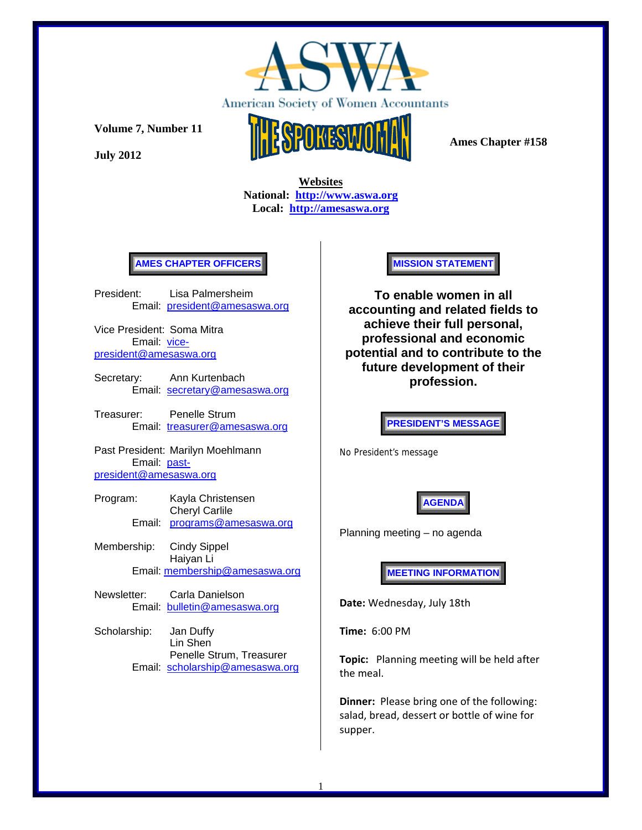

**July 2012** 



 **Ames Chapter #158** 

 **Websites National: http://www.aswa.org Local: http://amesaswa.org**

## **AMES CHAPTER OFFICERS**

President: Lisa Palmersheim Email: president@amesaswa.org

Vice President: Soma Mitra Email: vicepresident@amesaswa.org

- Secretary: Ann Kurtenbach Email: secretary@amesaswa.org
- Treasurer: Penelle Strum Email: treasurer@amesaswa.org

Past President: Marilyn Moehlmann Email: pastpresident@amesaswa.org

- Program: Kayla Christensen Cheryl Carlile Email: programs@amesaswa.org
- Membership: Cindy Sippel Haiyan Li Email: membership@amesaswa.org
- Newsletter: Carla Danielson Email: bulletin@amesaswa.org
- Scholarship: Jan Duffy Lin Shen Penelle Strum, Treasurer Email: scholarship@amesaswa.org

**MISSION STATEMENT** 

**To enable women in all accounting and related fields to achieve their full personal, professional and economic potential and to contribute to the future development of their profession.**

**PRESIDENT'S MESSAGE** 

No President's message



Planning meeting – no agenda

**MEETING INFORMATION** 

**Date:** Wednesday, July 18th

**Time:** 6:00 PM

**Topic:** Planning meeting will be held after the meal.

**Dinner:** Please bring one of the following: salad, bread, dessert or bottle of wine for supper.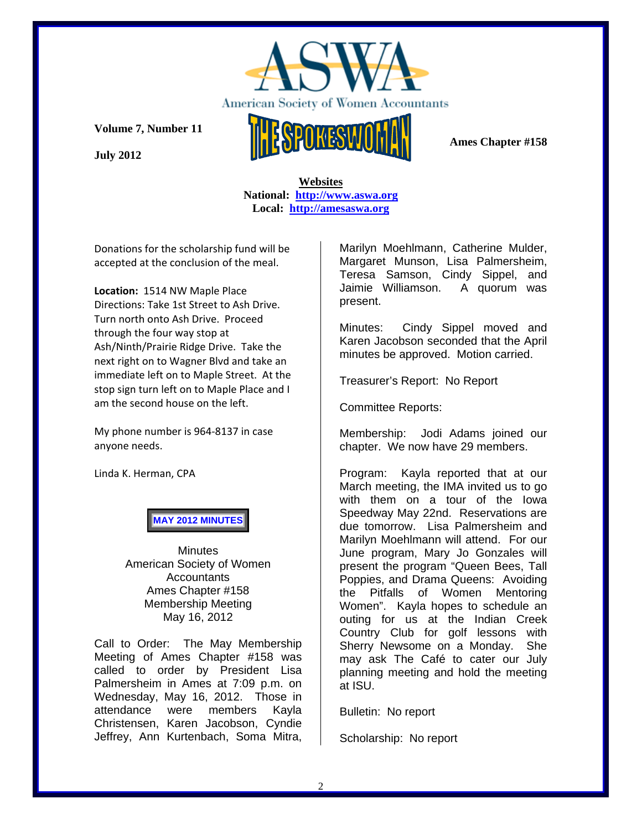

**July 2012** 



## **Websites National: http://www.aswa.org Local: http://amesaswa.org**

Donations for the scholarship fund will be accepted at the conclusion of the meal.

**Location:** 1514 NW Maple Place Directions: Take 1st Street to Ash Drive. Turn north onto Ash Drive. Proceed through the four way stop at Ash/Ninth/Prairie Ridge Drive. Take the next right on to Wagner Blvd and take an immediate left on to Maple Street. At the stop sign turn left on to Maple Place and I am the second house on the left.

My phone number is 964‐8137 in case anyone needs.

Linda K. Herman, CPA

**MAY 2012 MINUTES**

**Minutes** American Society of Women **Accountants** Ames Chapter #158 Membership Meeting May 16, 2012

Call to Order: The May Membership Meeting of Ames Chapter #158 was called to order by President Lisa Palmersheim in Ames at 7:09 p.m. on Wednesday, May 16, 2012. Those in attendance were members Kayla Christensen, Karen Jacobson, Cyndie Jeffrey, Ann Kurtenbach, Soma Mitra,

Marilyn Moehlmann, Catherine Mulder, Margaret Munson, Lisa Palmersheim, Teresa Samson, Cindy Sippel, and Jaimie Williamson. A quorum was present.

Minutes: Cindy Sippel moved and Karen Jacobson seconded that the April minutes be approved. Motion carried.

Treasurer's Report: No Report

Committee Reports:

Membership: Jodi Adams joined our chapter. We now have 29 members.

Program: Kayla reported that at our March meeting, the IMA invited us to go with them on a tour of the Iowa Speedway May 22nd. Reservations are due tomorrow. Lisa Palmersheim and Marilyn Moehlmann will attend. For our June program, Mary Jo Gonzales will present the program "Queen Bees, Tall Poppies, and Drama Queens: Avoiding the Pitfalls of Women Mentoring Women". Kayla hopes to schedule an outing for us at the Indian Creek Country Club for golf lessons with Sherry Newsome on a Monday. She may ask The Café to cater our July planning meeting and hold the meeting at ISU.

Bulletin: No report

Scholarship: No report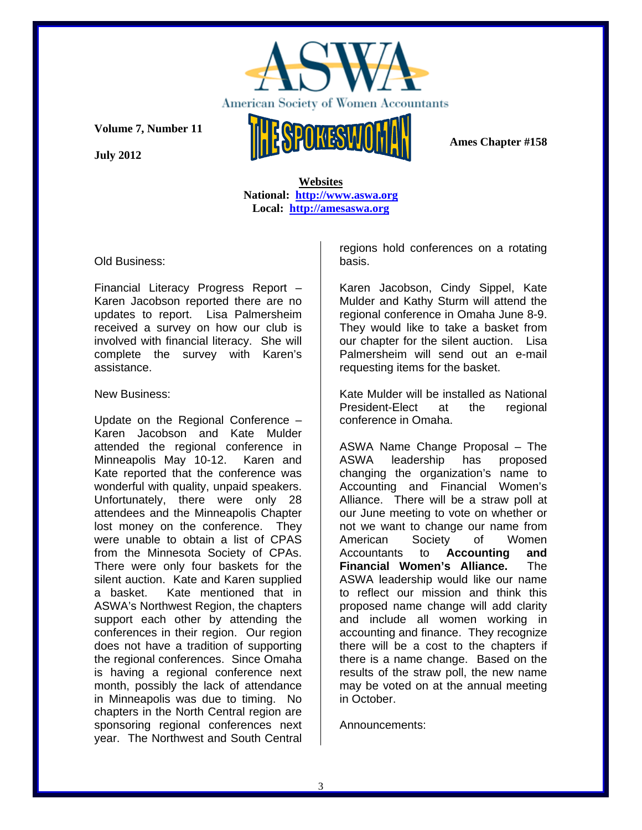

**July 2012** 

 **Ames Chapter #158** 

 **Websites National: http://www.aswa.org Local: http://amesaswa.org**

Old Business:

Financial Literacy Progress Report – Karen Jacobson reported there are no updates to report. Lisa Palmersheim received a survey on how our club is involved with financial literacy. She will complete the survey with Karen's assistance.

## New Business:

Update on the Regional Conference – Karen Jacobson and Kate Mulder attended the regional conference in Minneapolis May 10-12. Karen and Kate reported that the conference was wonderful with quality, unpaid speakers. Unfortunately, there were only 28 attendees and the Minneapolis Chapter lost money on the conference. They were unable to obtain a list of CPAS from the Minnesota Society of CPAs. There were only four baskets for the silent auction. Kate and Karen supplied a basket. Kate mentioned that in ASWA's Northwest Region, the chapters support each other by attending the conferences in their region. Our region does not have a tradition of supporting the regional conferences. Since Omaha is having a regional conference next month, possibly the lack of attendance in Minneapolis was due to timing. No chapters in the North Central region are sponsoring regional conferences next year. The Northwest and South Central regions hold conferences on a rotating basis.

Karen Jacobson, Cindy Sippel, Kate Mulder and Kathy Sturm will attend the regional conference in Omaha June 8-9. They would like to take a basket from our chapter for the silent auction. Lisa Palmersheim will send out an e-mail requesting items for the basket.

Kate Mulder will be installed as National President-Elect at the regional conference in Omaha.

ASWA Name Change Proposal – The ASWA leadership has proposed changing the organization's name to Accounting and Financial Women's Alliance. There will be a straw poll at our June meeting to vote on whether or not we want to change our name from American Society of Women Accountants to **Accounting and Financial Women's Alliance.** The ASWA leadership would like our name to reflect our mission and think this proposed name change will add clarity and include all women working in accounting and finance. They recognize there will be a cost to the chapters if there is a name change. Based on the results of the straw poll, the new name may be voted on at the annual meeting in October.

Announcements: